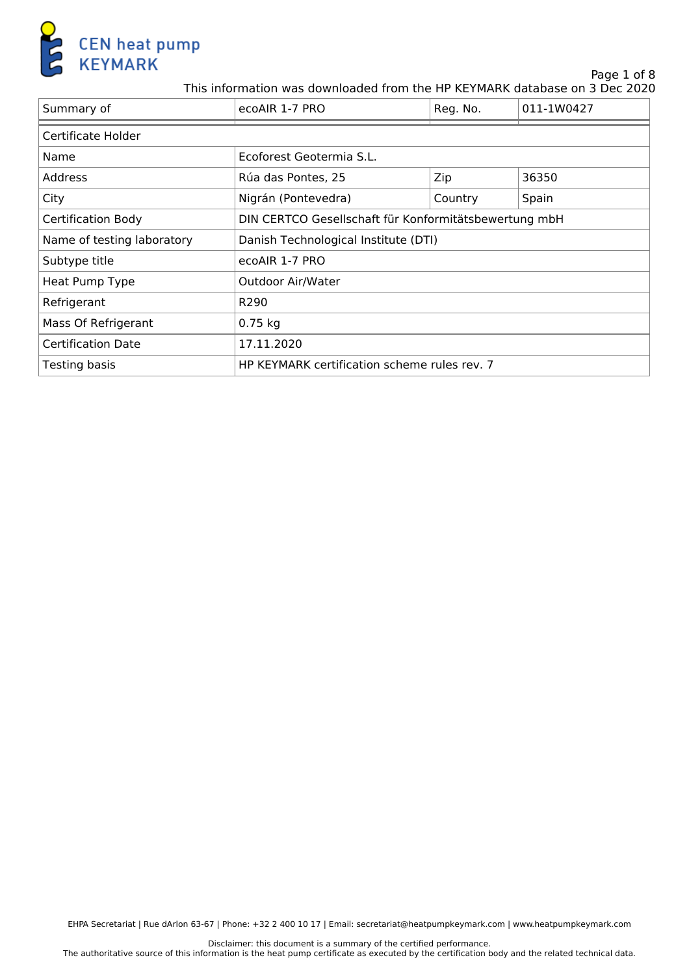

Page 1 of 8

This information was downloaded from the HP KEYMARK database on 3 Dec 2020

| Summary of                 | ecoAIR 1-7 PRO                                        | Reg. No. | 011-1W0427 |
|----------------------------|-------------------------------------------------------|----------|------------|
| Certificate Holder         |                                                       |          |            |
| Name                       | Ecoforest Geotermia S.L.                              |          |            |
| <b>Address</b>             | Rúa das Pontes, 25                                    | Zip      | 36350      |
| City                       | Nigrán (Pontevedra)                                   | Country  | Spain      |
| Certification Body         | DIN CERTCO Gesellschaft für Konformitätsbewertung mbH |          |            |
| Name of testing laboratory | Danish Technological Institute (DTI)                  |          |            |
| Subtype title              | ecoAIR 1-7 PRO                                        |          |            |
| Heat Pump Type             | <b>Outdoor Air/Water</b>                              |          |            |
| Refrigerant                | R <sub>290</sub>                                      |          |            |
| Mass Of Refrigerant        | $0.75$ kg                                             |          |            |
| <b>Certification Date</b>  | 17.11.2020                                            |          |            |
| Testing basis              | HP KEYMARK certification scheme rules rev. 7          |          |            |

Disclaimer: this document is a summary of the certified performance. The authoritative source of this information is the heat pump certificate as executed by the certification body and the related technical data.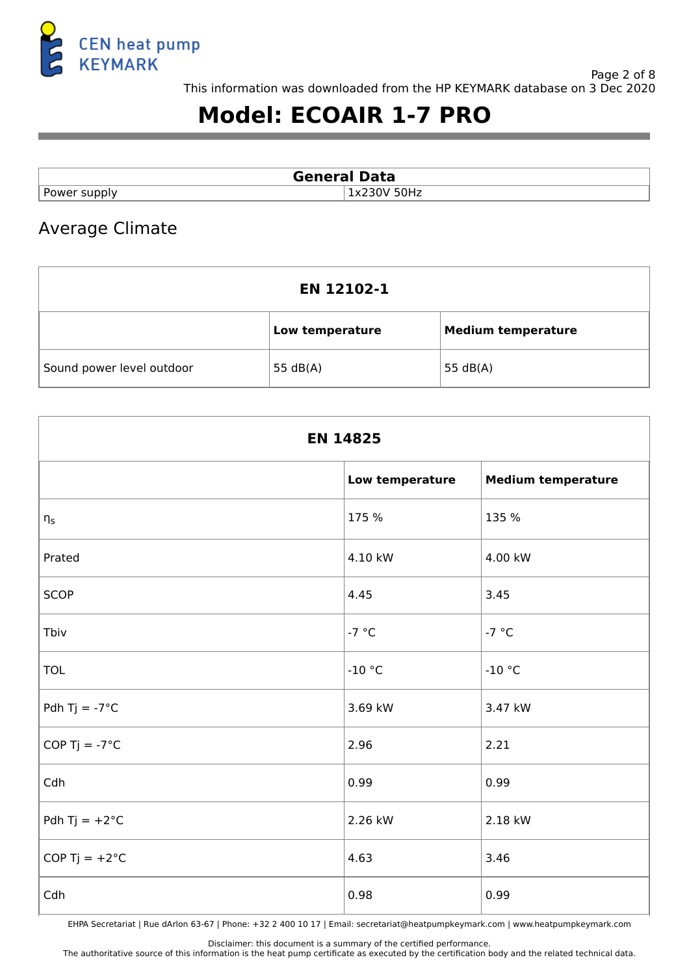

# **Model: ECOAIR 1-7 PRO**

| <b>General Data</b>  |                                  |
|----------------------|----------------------------------|
| $\ldots$ ower supply | ነ0Hz<br>$\mathbf{v}$<br>$\bf{v}$ |

### Average Climate

| <b>EN 12102-1</b>         |                 |                           |  |
|---------------------------|-----------------|---------------------------|--|
|                           | Low temperature | <b>Medium temperature</b> |  |
| Sound power level outdoor | 55 $dB(A)$      | 55 $dB(A)$                |  |

| <b>EN 14825</b>         |                 |                           |
|-------------------------|-----------------|---------------------------|
|                         | Low temperature | <b>Medium temperature</b> |
| $\eta_{\text{s}}$       | 175 %           | 135 %                     |
| Prated                  | 4.10 kW         | 4.00 kW                   |
| <b>SCOP</b>             | 4.45            | 3.45                      |
| Tbiv                    | $-7 °C$         | $-7 °C$                   |
| <b>TOL</b>              | $-10$ °C        | $-10$ °C                  |
| Pdh Tj = $-7^{\circ}$ C | 3.69 kW         | 3.47 kW                   |
| COP Tj = $-7^{\circ}$ C | 2.96            | 2.21                      |
| Cdh                     | 0.99            | 0.99                      |
| Pdh Tj = $+2$ °C        | 2.26 kW         | 2.18 kW                   |
| COP Tj = $+2^{\circ}C$  | 4.63            | 3.46                      |
| Cdh                     | 0.98            | 0.99                      |

EHPA Secretariat | Rue dArlon 63-67 | Phone: +32 2 400 10 17 | Email: secretariat@heatpumpkeymark.com | www.heatpumpkeymark.com

Disclaimer: this document is a summary of the certified performance.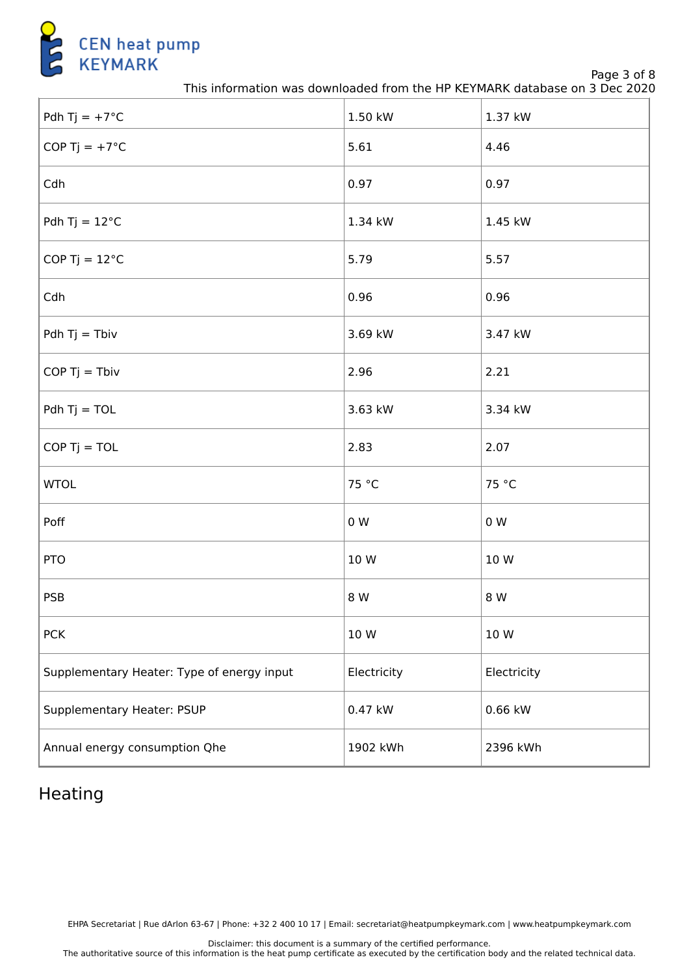

Page 3 of 8

This information was downloaded from the HP KEYMARK database on 3 Dec 2020

| Pdh Tj = $+7^{\circ}$ C                    | 1.50 kW     | 1.37 kW     |
|--------------------------------------------|-------------|-------------|
| COP Tj = $+7^{\circ}$ C                    | 5.61        | 4.46        |
| Cdh                                        | 0.97        | 0.97        |
| Pdh Tj = $12^{\circ}$ C                    | 1.34 kW     | 1.45 kW     |
| COP Tj = $12^{\circ}$ C                    | 5.79        | 5.57        |
| Cdh                                        | 0.96        | 0.96        |
| Pdh $Tj = Tbiv$                            | 3.69 kW     | 3.47 kW     |
| $COP$ Tj = Tbiv                            | 2.96        | 2.21        |
| $Pdh Tj = TOL$                             | 3.63 kW     | 3.34 kW     |
| $COP$ Tj = TOL                             | 2.83        | 2.07        |
| <b>WTOL</b>                                | 75 °C       | 75 °C       |
| Poff                                       | 0 W         | $0\,$ W     |
| <b>PTO</b>                                 | 10 W        | 10 W        |
| <b>PSB</b>                                 | 8 W         | 8 W         |
| <b>PCK</b>                                 | 10 W        | 10 W        |
| Supplementary Heater: Type of energy input | Electricity | Electricity |
| Supplementary Heater: PSUP                 | 0.47 kW     | $0.66$ kW   |
| Annual energy consumption Qhe              | 1902 kWh    | 2396 kWh    |

# Heating

EHPA Secretariat | Rue dArlon 63-67 | Phone: +32 2 400 10 17 | Email: secretariat@heatpumpkeymark.com | www.heatpumpkeymark.com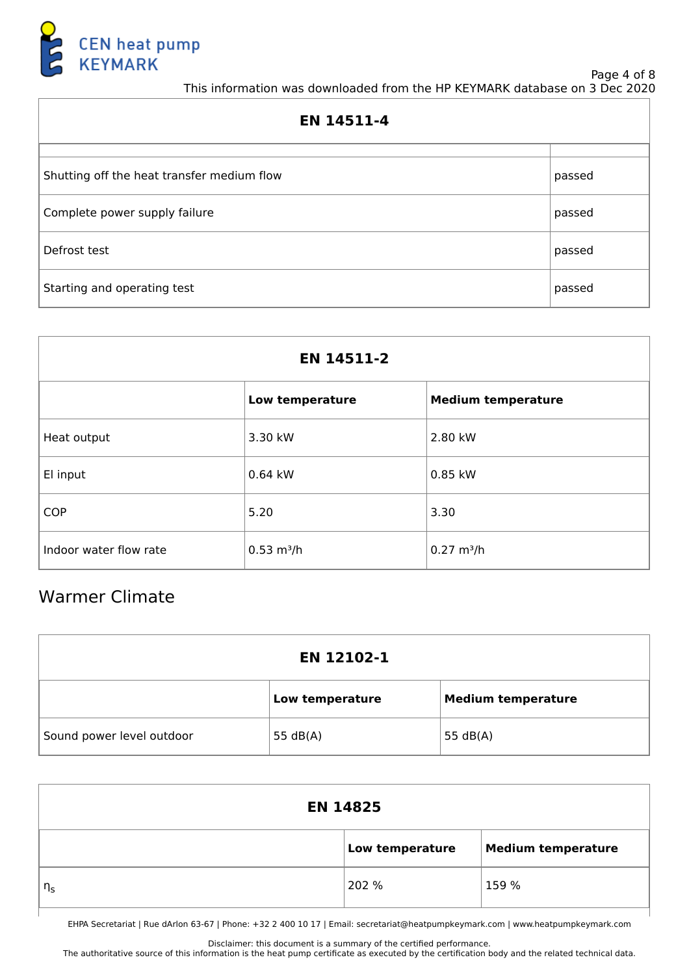

#### Page 4 of 8 This information was downloaded from the HP KEYMARK database on 3 Dec 2020

| EN 14511-4                                 |        |  |
|--------------------------------------------|--------|--|
|                                            |        |  |
| Shutting off the heat transfer medium flow | passed |  |
| Complete power supply failure              | passed |  |
| Defrost test                               | passed |  |
| Starting and operating test                | passed |  |

| EN 14511-2             |                      |                           |  |
|------------------------|----------------------|---------------------------|--|
|                        | Low temperature      | <b>Medium temperature</b> |  |
| Heat output            | 3.30 kW              | 2.80 kW                   |  |
| El input               | 0.64 kW              | 0.85 kW                   |  |
| <b>COP</b>             | 5.20                 | 3.30                      |  |
| Indoor water flow rate | $0.53 \text{ m}^3/h$ | $0.27 \text{ m}^3/h$      |  |

# Warmer Climate

| EN 12102-1                |                 |                           |  |
|---------------------------|-----------------|---------------------------|--|
|                           | Low temperature | <b>Medium temperature</b> |  |
| Sound power level outdoor | 55 $dB(A)$      | 55 $dB(A)$                |  |

| <b>EN 14825</b> |                 |                           |
|-----------------|-----------------|---------------------------|
|                 | Low temperature | <b>Medium temperature</b> |
| $\eta_s$        | 202 %           | 159 %                     |

EHPA Secretariat | Rue dArlon 63-67 | Phone: +32 2 400 10 17 | Email: secretariat@heatpumpkeymark.com | www.heatpumpkeymark.com

Disclaimer: this document is a summary of the certified performance.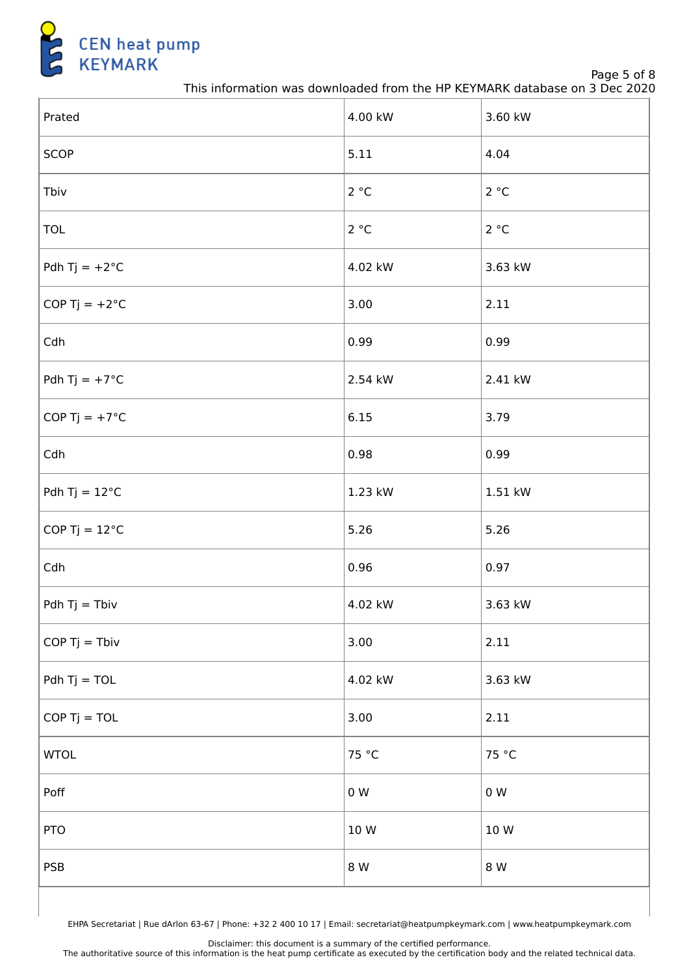

Page 5 of 8

This information was downloaded from the HP KEYMARK database on 3 Dec 2020

| Prated                  | 4.00 kW | 3.60 kW |
|-------------------------|---------|---------|
| <b>SCOP</b>             | 5.11    | 4.04    |
| Tbiv                    | 2 °C    | 2 °C    |
| <b>TOL</b>              | 2 °C    | 2 °C    |
| Pdh Tj = $+2^{\circ}C$  | 4.02 kW | 3.63 kW |
| COP Tj = $+2^{\circ}$ C | 3.00    | 2.11    |
| Cdh                     | 0.99    | 0.99    |
| Pdh Tj = $+7^{\circ}$ C | 2.54 kW | 2.41 kW |
| COP Tj = $+7^{\circ}$ C | 6.15    | 3.79    |
| Cdh                     | 0.98    | 0.99    |
| Pdh Tj = $12^{\circ}$ C | 1.23 kW | 1.51 kW |
| COP Tj = $12^{\circ}$ C | 5.26    | 5.26    |
| Cdh                     | 0.96    | 0.97    |
| Pdh $Tj = Tbiv$         | 4.02 kW | 3.63 kW |
| $COP$ Tj = Tbiv         | 3.00    | 2.11    |
| $Pdh Tj = TOL$          | 4.02 kW | 3.63 kW |
| $COP$ Tj = TOL          | 3.00    | 2.11    |
| <b>WTOL</b>             | 75 °C   | 75 °C   |
| Poff                    | 0 W     | 0 W     |
| <b>PTO</b>              | 10 W    | 10 W    |
| <b>PSB</b>              | 8 W     | 8 W     |
|                         |         |         |

EHPA Secretariat | Rue dArlon 63-67 | Phone: +32 2 400 10 17 | Email: secretariat@heatpumpkeymark.com | www.heatpumpkeymark.com

Disclaimer: this document is a summary of the certified performance.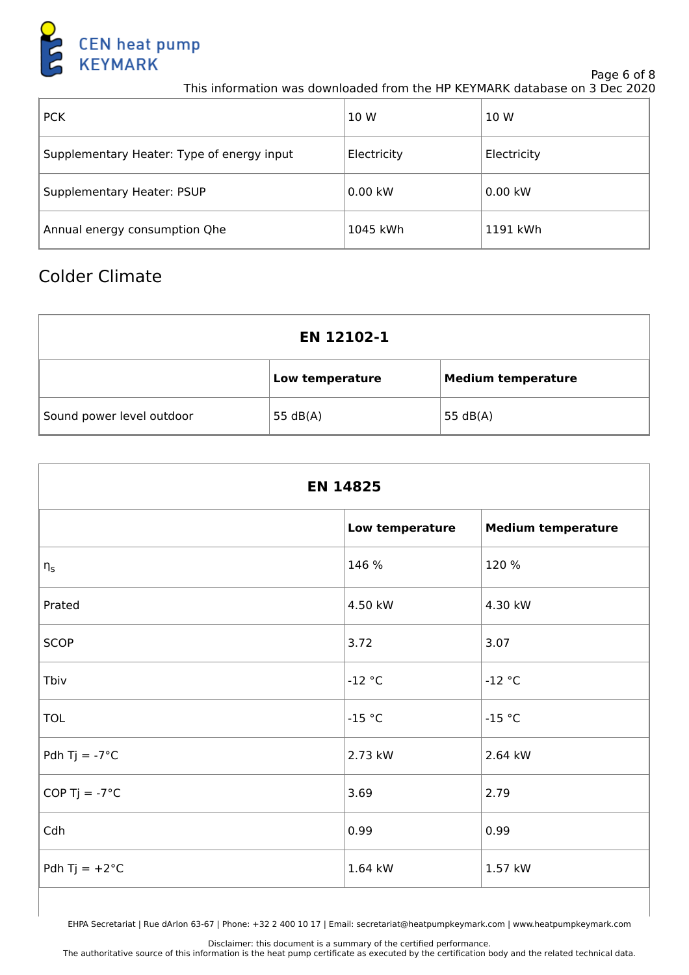

Page 6 of 8

This information was downloaded from the HP KEYMARK database on 3 Dec 2020

| $ $ PCK                                    | 10 W        | 10 W        |
|--------------------------------------------|-------------|-------------|
| Supplementary Heater: Type of energy input | Electricity | Electricity |
| Supplementary Heater: PSUP                 | $0.00$ kW   | $0.00$ kW   |
| Annual energy consumption Qhe              | 1045 kWh    | 1191 kWh    |

### Colder Climate

| EN 12102-1                |                 |                           |  |
|---------------------------|-----------------|---------------------------|--|
|                           | Low temperature | <b>Medium temperature</b> |  |
| Sound power level outdoor | 55 $dB(A)$      | 55 $dB(A)$                |  |

| <b>EN 14825</b>         |                 |                           |  |
|-------------------------|-----------------|---------------------------|--|
|                         | Low temperature | <b>Medium temperature</b> |  |
| $\eta_{\sf s}$          | 146 %           | 120 %                     |  |
| Prated                  | 4.50 kW         | 4.30 kW                   |  |
| <b>SCOP</b>             | 3.72            | 3.07                      |  |
| Tbiv                    | $-12$ °C        | $-12$ °C                  |  |
| <b>TOL</b>              | $-15 °C$        | $-15 °C$                  |  |
| Pdh Tj = $-7^{\circ}$ C | 2.73 kW         | 2.64 kW                   |  |
| COP Tj = $-7^{\circ}$ C | 3.69            | 2.79                      |  |
| Cdh                     | 0.99            | 0.99                      |  |
| Pdh Tj = $+2^{\circ}$ C | 1.64 kW         | 1.57 kW                   |  |

EHPA Secretariat | Rue dArlon 63-67 | Phone: +32 2 400 10 17 | Email: secretariat@heatpumpkeymark.com | www.heatpumpkeymark.com

Disclaimer: this document is a summary of the certified performance.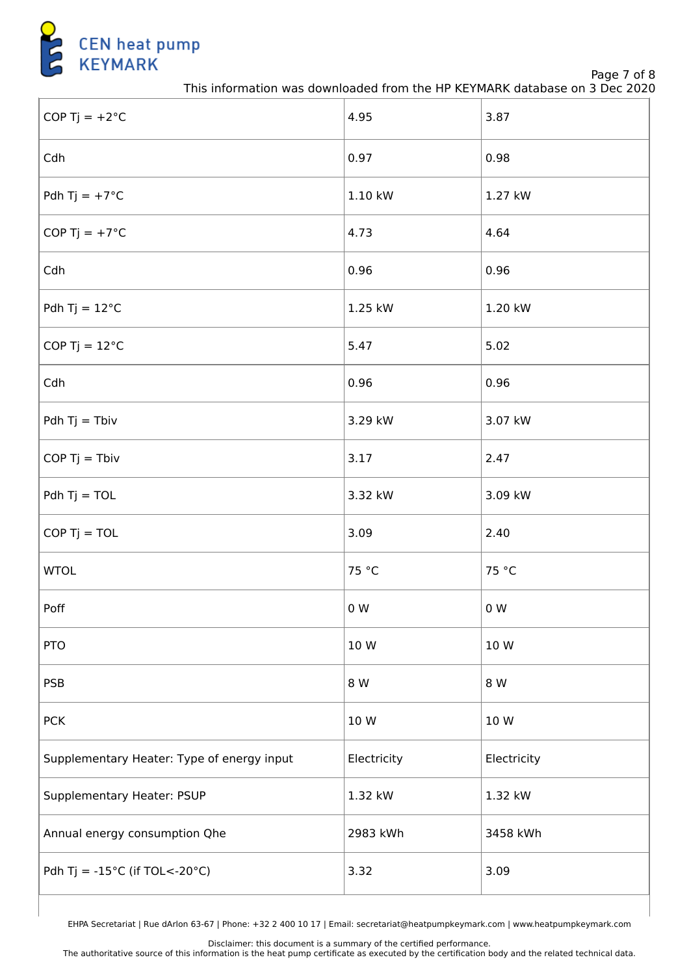

Page 7 of 8

This information was downloaded from the HP KEYMARK database on 3 Dec 2020

| COP Tj = $+2^{\circ}$ C                            | 4.95        | 3.87        |
|----------------------------------------------------|-------------|-------------|
| Cdh                                                | 0.97        | 0.98        |
| Pdh Tj = $+7^{\circ}$ C                            | 1.10 kW     | 1.27 kW     |
| COP Tj = $+7^{\circ}$ C                            | 4.73        | 4.64        |
| Cdh                                                | 0.96        | 0.96        |
| Pdh Tj = $12^{\circ}$ C                            | 1.25 kW     | 1.20 kW     |
| COP Tj = $12^{\circ}$ C                            | 5.47        | 5.02        |
| Cdh                                                | 0.96        | 0.96        |
| Pdh $Tj = Tbiv$                                    | 3.29 kW     | 3.07 kW     |
| $COP$ Tj = Tbiv                                    | 3.17        | 2.47        |
| $Pdh Tj = TOL$                                     | 3.32 kW     | 3.09 kW     |
| $COP$ Tj = TOL                                     | 3.09        | 2.40        |
| <b>WTOL</b>                                        | 75 °C       | 75 °C       |
| Poff                                               | 0 W         | 0 W         |
| <b>PTO</b>                                         | 10 W        | 10 W        |
| <b>PSB</b>                                         | 8 W         | 8 W         |
| <b>PCK</b>                                         | 10 W        | 10 W        |
| Supplementary Heater: Type of energy input         | Electricity | Electricity |
| Supplementary Heater: PSUP                         | 1.32 kW     | 1.32 kW     |
| Annual energy consumption Qhe                      | 2983 kWh    | 3458 kWh    |
| Pdh Tj = $-15^{\circ}$ C (if TOL< $-20^{\circ}$ C) | 3.32        | 3.09        |

EHPA Secretariat | Rue dArlon 63-67 | Phone: +32 2 400 10 17 | Email: secretariat@heatpumpkeymark.com | www.heatpumpkeymark.com

Disclaimer: this document is a summary of the certified performance.